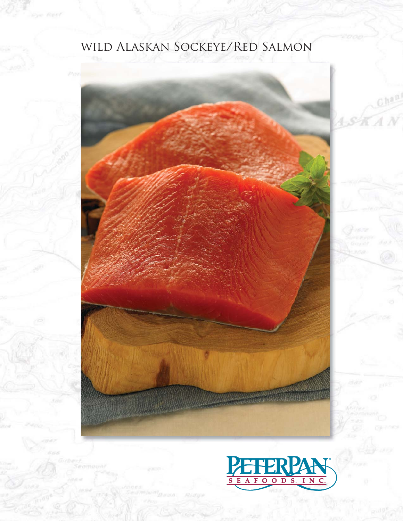# wild Alaskan Sockeye/Red Salmon

ve Røel